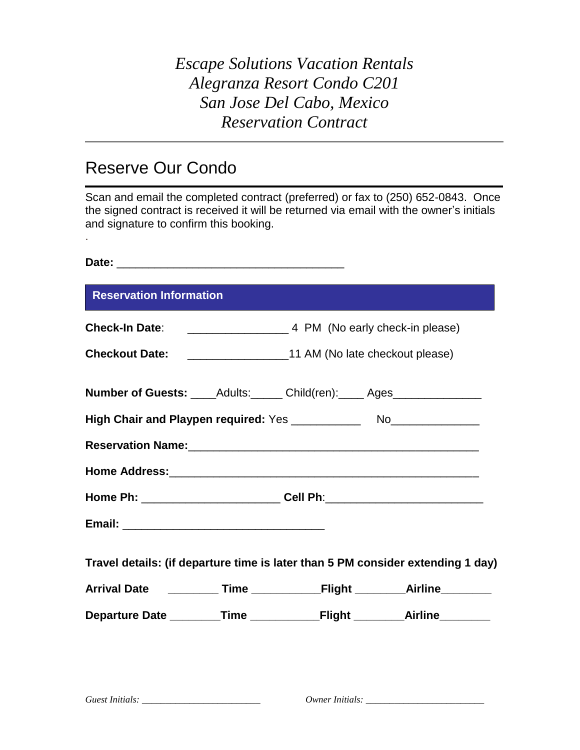# Reserve Our Condo

.

Scan and email the completed contract (preferred) or fax to (250) 652-0843. Once the signed contract is received it will be returned via email with the owner's initials and signature to confirm this booking.

| <b>Reservation Information</b> |  |                                                                         |                                                                                  |  |
|--------------------------------|--|-------------------------------------------------------------------------|----------------------------------------------------------------------------------|--|
|                                |  |                                                                         |                                                                                  |  |
|                                |  |                                                                         |                                                                                  |  |
|                                |  | Number of Guests: ____Adults: _____ Child(ren): ____ Ages______________ |                                                                                  |  |
|                                |  |                                                                         |                                                                                  |  |
|                                |  |                                                                         |                                                                                  |  |
|                                |  |                                                                         |                                                                                  |  |
|                                |  |                                                                         | Home Ph: ____________________________Cell Ph:___________________________________ |  |
|                                |  |                                                                         |                                                                                  |  |
|                                |  |                                                                         | Travel details: (if departure time is later than 5 PM consider extending 1 day)  |  |
|                                |  |                                                                         |                                                                                  |  |
|                                |  |                                                                         |                                                                                  |  |
|                                |  |                                                                         |                                                                                  |  |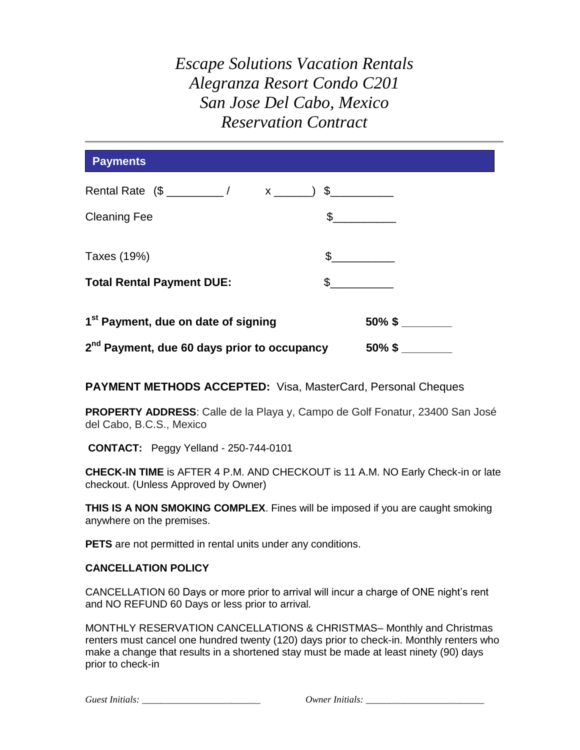| Payments                                                |               |
|---------------------------------------------------------|---------------|
|                                                         |               |
| <b>Cleaning Fee</b>                                     | $\frac{1}{2}$ |
| Taxes (19%)                                             | $\mathcal{S}$ |
| <b>Total Rental Payment DUE:</b>                        | $\mathbb{S}$  |
| 1 <sup>st</sup> Payment, due on date of signing         |               |
| 2 <sup>nd</sup> Payment, due 60 days prior to occupancy |               |

**PAYMENT METHODS ACCEPTED:** Visa, MasterCard, Personal Cheques

**PROPERTY ADDRESS**: Calle de la Playa y, Campo de Golf Fonatur, 23400 San José del Cabo, B.C.S., Mexico

**CONTACT:** Peggy Yelland - 250-744-0101

**CHECK-IN TIME** is AFTER 4 P.M. AND CHECKOUT is 11 A.M. NO Early Check-in or late checkout. (Unless Approved by Owner)

**THIS IS A NON SMOKING COMPLEX**. Fines will be imposed if you are caught smoking anywhere on the premises.

**PETS** are not permitted in rental units under any conditions.

## **CANCELLATION POLICY**

CANCELLATION 60 Days or more prior to arrival will incur a charge of ONE night's rent and NO REFUND 60 Days or less prior to arrival*.*

MONTHLY RESERVATION CANCELLATIONS & CHRISTMAS– Monthly and Christmas renters must cancel one hundred twenty (120) days prior to check-in. Monthly renters who make a change that results in a shortened stay must be made at least ninety (90) days prior to check-in

| Guest Initials: |
|-----------------|
|                 |

*Gwner Initials:*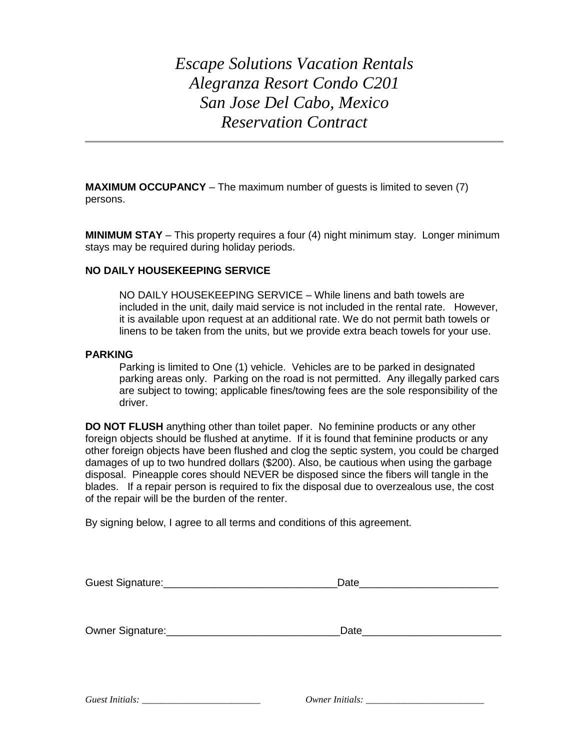**MAXIMUM OCCUPANCY** – The maximum number of guests is limited to seven (7) persons.

**MINIMUM STAY** – This property requires a four (4) night minimum stay. Longer minimum stays may be required during holiday periods.

### **NO DAILY HOUSEKEEPING SERVICE**

NO DAILY HOUSEKEEPING SERVICE – While linens and bath towels are included in the unit, daily maid service is not included in the rental rate. However, it is available upon request at an additional rate. We do not permit bath towels or linens to be taken from the units, but we provide extra beach towels for your use.

#### **PARKING**

Parking is limited to One (1) vehicle. Vehicles are to be parked in designated parking areas only. Parking on the road is not permitted. Any illegally parked cars are subject to towing; applicable fines/towing fees are the sole responsibility of the driver.

**DO NOT FLUSH** anything other than toilet paper. No feminine products or any other foreign objects should be flushed at anytime. If it is found that feminine products or any other foreign objects have been flushed and clog the septic system, you could be charged damages of up to two hundred dollars (\$200). Also, be cautious when using the garbage disposal. Pineapple cores should NEVER be disposed since the fibers will tangle in the blades. If a repair person is required to fix the disposal due to overzealous use, the cost of the repair will be the burden of the renter.

By signing below, I agree to all terms and conditions of this agreement.

| Guest Signature:<br><u> Cuest Signature</u> : | Date |  |
|-----------------------------------------------|------|--|
|                                               | Date |  |
|                                               |      |  |

*Guest Initials: Guest Initials: Dwner Initials: Dwner Initials: Algoring 2004*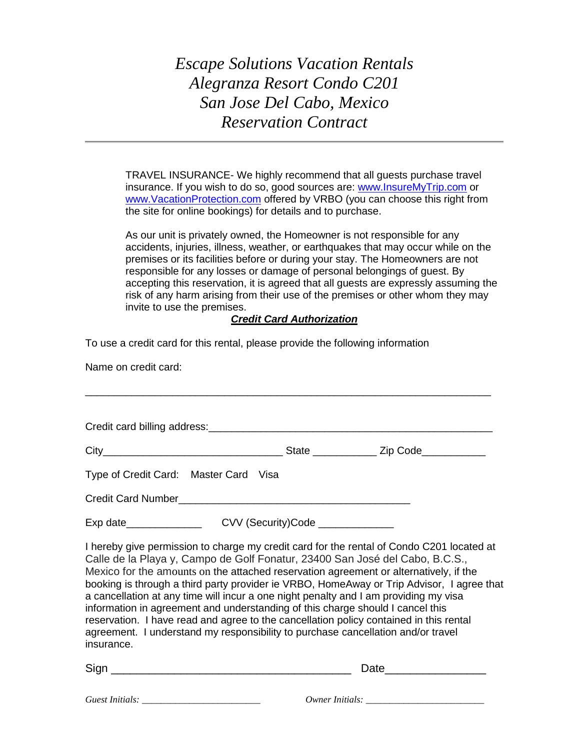TRAVEL INSURANCE- We highly recommend that all guests purchase travel insurance. If you wish to do so, good sources are: [www.InsureMyTrip.com](http://www.insuremytrip.com/) or [www.VacationProtection.com](http://www.vacationprotection.com/) offered by VRBO (you can choose this right from the site for online bookings) for details and to purchase.

As our unit is privately owned, the Homeowner is not responsible for any accidents, injuries, illness, weather, or earthquakes that may occur while on the premises or its facilities before or during your stay. The Homeowners are not responsible for any losses or damage of personal belongings of guest. By accepting this reservation, it is agreed that all guests are expressly assuming the risk of any harm arising from their use of the premises or other whom they may invite to use the premises.

### *Credit Card Authorization*

To use a credit card for this rental, please provide the following information

Name on credit card:

| Type of Credit Card: Master Card Visa                                                                                                                                                                                                                                                                                                                                                                                                                   |  |
|---------------------------------------------------------------------------------------------------------------------------------------------------------------------------------------------------------------------------------------------------------------------------------------------------------------------------------------------------------------------------------------------------------------------------------------------------------|--|
|                                                                                                                                                                                                                                                                                                                                                                                                                                                         |  |
| Exp date_____________________CVV (Security)Code ________________                                                                                                                                                                                                                                                                                                                                                                                        |  |
| I hereby give permission to charge my credit card for the rental of Condo C201 located at<br>Calle de la Playa y, Campo de Golf Fonatur, 23400 San José del Cabo, B.C.S.,<br>Mexico for the amounts on the attached reservation agreement or alternatively, if the<br>booking is through a third party provider ie VRBO, HomeAway or Trip Advisor, I agree that<br>a cancellation at any time will incur a one night penalty and I am providing my visa |  |

information in agreement and understanding of this charge should I cancel this reservation. I have read and agree to the cancellation policy contained in this rental agreement. I understand my responsibility to purchase cancellation and/or travel insurance.

| Sign            | Date            |
|-----------------|-----------------|
|                 |                 |
| Guest Initials: | Owner Initials: |